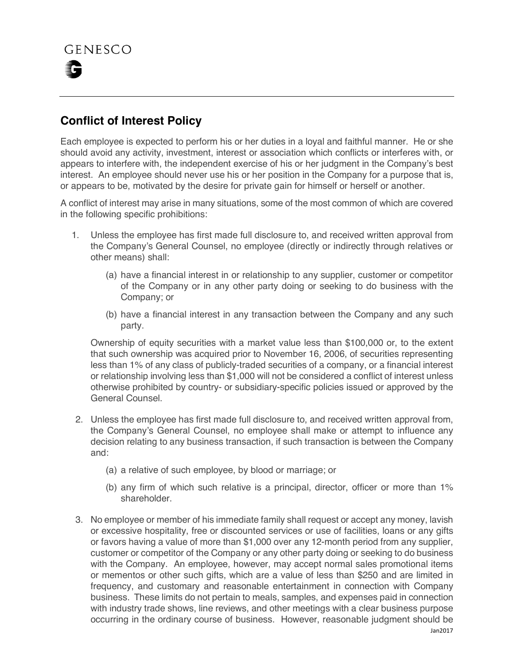

## **Conflict of Interest Policy**

Each employee is expected to perform his or her duties in a loyal and faithful manner. He or she should avoid any activity, investment, interest or association which conflicts or interferes with, or appears to interfere with, the independent exercise of his or her judgment in the Company's best interest. An employee should never use his or her position in the Company for a purpose that is, or appears to be, motivated by the desire for private gain for himself or herself or another.

A conflict of interest may arise in many situations, some of the most common of which are covered in the following specific prohibitions:

- 1. Unless the employee has first made full disclosure to, and received written approval from the Company's General Counsel, no employee (directly or indirectly through relatives or other means) shall:
	- (a) have a financial interest in or relationship to any supplier, customer or competitor of the Company or in any other party doing or seeking to do business with the Company; or
	- (b) have a financial interest in any transaction between the Company and any such party.

Ownership of equity securities with a market value less than \$100,000 or, to the extent that such ownership was acquired prior to November 16, 2006, of securities representing less than 1% of any class of publicly-traded securities of a company, or a financial interest or relationship involving less than \$1,000 will not be considered a conflict of interest unless otherwise prohibited by country- or subsidiary-specific policies issued or approved by the General Counsel.

- 2. Unless the employee has first made full disclosure to, and received written approval from, the Company's General Counsel, no employee shall make or attempt to influence any decision relating to any business transaction, if such transaction is between the Company and:
	- (a) a relative of such employee, by blood or marriage; or
	- (b) any firm of which such relative is a principal, director, officer or more than 1% shareholder.
- Jan2017 3. No employee or member of his immediate family shall request or accept any money, lavish or excessive hospitality, free or discounted services or use of facilities, loans or any gifts or favors having a value of more than \$1,000 over any 12-month period from any supplier, customer or competitor of the Company or any other party doing or seeking to do business with the Company. An employee, however, may accept normal sales promotional items or mementos or other such gifts, which are a value of less than \$250 and are limited in frequency, and customary and reasonable entertainment in connection with Company business. These limits do not pertain to meals, samples, and expenses paid in connection with industry trade shows, line reviews, and other meetings with a clear business purpose occurring in the ordinary course of business. However, reasonable judgment should be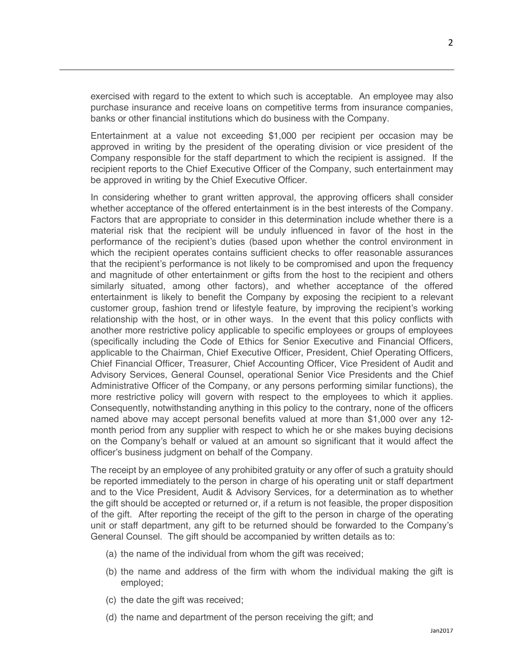exercised with regard to the extent to which such is acceptable. An employee may also purchase insurance and receive loans on competitive terms from insurance companies, banks or other financial institutions which do business with the Company.

Entertainment at a value not exceeding \$1,000 per recipient per occasion may be approved in writing by the president of the operating division or vice president of the Company responsible for the staff department to which the recipient is assigned. If the recipient reports to the Chief Executive Officer of the Company, such entertainment may be approved in writing by the Chief Executive Officer.

In considering whether to grant written approval, the approving officers shall consider whether acceptance of the offered entertainment is in the best interests of the Company. Factors that are appropriate to consider in this determination include whether there is a material risk that the recipient will be unduly influenced in favor of the host in the performance of the recipient's duties (based upon whether the control environment in which the recipient operates contains sufficient checks to offer reasonable assurances that the recipient's performance is not likely to be compromised and upon the frequency and magnitude of other entertainment or gifts from the host to the recipient and others similarly situated, among other factors), and whether acceptance of the offered entertainment is likely to benefit the Company by exposing the recipient to a relevant customer group, fashion trend or lifestyle feature, by improving the recipient's working relationship with the host, or in other ways. In the event that this policy conflicts with another more restrictive policy applicable to specific employees or groups of employees (specifically including the Code of Ethics for Senior Executive and Financial Officers, applicable to the Chairman, Chief Executive Officer, President, Chief Operating Officers, Chief Financial Officer, Treasurer, Chief Accounting Officer, Vice President of Audit and Advisory Services, General Counsel, operational Senior Vice Presidents and the Chief Administrative Officer of the Company, or any persons performing similar functions), the more restrictive policy will govern with respect to the employees to which it applies. Consequently, notwithstanding anything in this policy to the contrary, none of the officers named above may accept personal benefits valued at more than \$1,000 over any 12 month period from any supplier with respect to which he or she makes buying decisions on the Company's behalf or valued at an amount so significant that it would affect the officer's business judgment on behalf of the Company.

The receipt by an employee of any prohibited gratuity or any offer of such a gratuity should be reported immediately to the person in charge of his operating unit or staff department and to the Vice President, Audit & Advisory Services, for a determination as to whether the gift should be accepted or returned or, if a return is not feasible, the proper disposition of the gift. After reporting the receipt of the gift to the person in charge of the operating unit or staff department, any gift to be returned should be forwarded to the Company's General Counsel. The gift should be accompanied by written details as to:

- (a) the name of the individual from whom the gift was received;
- (b) the name and address of the firm with whom the individual making the gift is employed;
- (c) the date the gift was received;
- (d) the name and department of the person receiving the gift; and